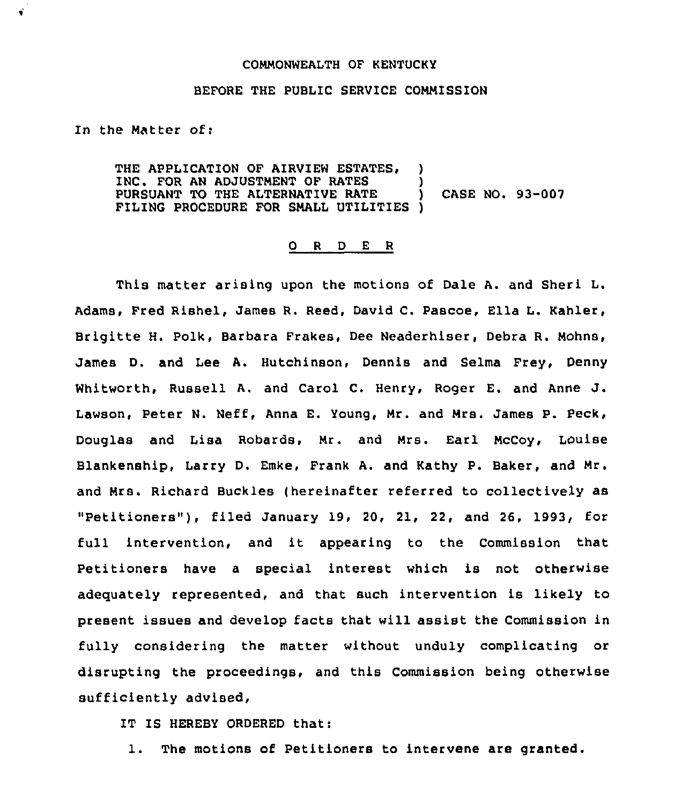## COMMONWEALTH OF KENTUCKY

## BEFORE THE PUBLIC SERVICE COMMISSION

In the Matter of:

 $\ddot{\bullet}$ 

THE APPLICATION OF AIRVIEW ESTATES. INC. FOR AN ADJUSTMENT OF RATES PURSUANT TO THE ALTERNATIVE RATE ) CASE NO. 93-007 FILING PROCEDURE FOR SMALL UTILITIES )

## 0 <sup>R</sup> <sup>D</sup> <sup>E</sup> <sup>R</sup>

This matter arising upon the motions of Dale A. and Sheri L. Adams, Fred Rishel, James R. Reed, David C. Pascoe, Ella L. Kahler, Brigitte H. Polk, Barbara Frakes, Dee Neaderhiser, Debra R. Mohns, James D. and Lee A. Hutchinson, Dennis and Selma Frey, Denny Whitworth, Russell A. and Carol C. Henry, Roger E. and Anne J. Lawson, Peter N. Neff, Anna E. Young, Mr. and Mrs. James P. Peck, Douglas and Lisa Robards, Mr. and Mrs. Earl McCoy, Louise Blankenship, Larry D. Emke, Frank A. and Kathy P. Baker, and Mr. and Mrs. Richard Buckles (hereinafter referred to collectively as "Petitioners"), filed January 19, 20, 21, 22, and 26, 1993, for full intervention, and it appearing to the Commission that petitioners have <sup>a</sup> special interest which is not otherwise adequately represented, and that such intervention is likely to present issues and develop facts that will assist the Commission in fully considering the matter without unduly complicating or disrupting the proceedings, and this Commission being otherwise sufficiently advised,

IT IS HEREBY ORDERED that:

1. The motions of Petitioners to intervene are granted.